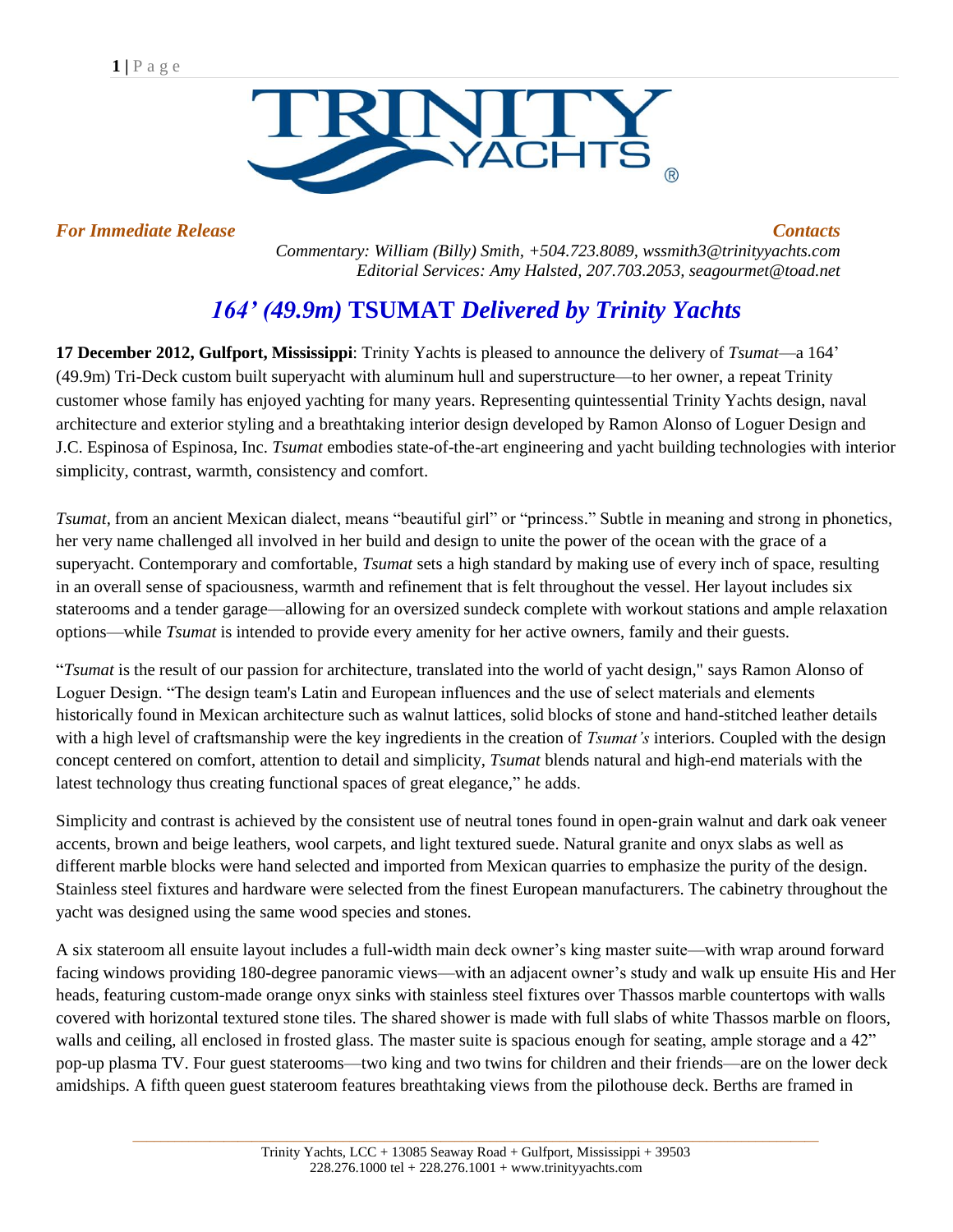

*For Immediate Release Contacts*

*Commentary: William (Billy) Smith, +504.723.8089, [wssmith3@trinityyachts.com](mailto:wssmith3@trinityyachts.com) Editorial Services: Amy Halsted, 207.703.2053, seagourmet@toad.net*

## *164' (49.9m)* **TSUMAT** *Delivered by Trinity Yachts*

**17 December 2012, Gulfport, Mississippi**: Trinity Yachts is pleased to announce the delivery of *Tsumat*—a 164' (49.9m) Tri-Deck custom built superyacht with aluminum hull and superstructure—to her owner, a repeat Trinity customer whose family has enjoyed yachting for many years. Representing quintessential Trinity Yachts design, naval architecture and exterior styling and a breathtaking interior design developed by Ramon Alonso of Loguer Design and J.C. Espinosa of Espinosa, Inc. *Tsumat* embodies state-of-the-art engineering and yacht building technologies with interior simplicity, contrast, warmth, consistency and comfort.

*Tsumat*, from an ancient Mexican dialect, means "beautiful girl" or "princess." Subtle in meaning and strong in phonetics, her very name challenged all involved in her build and design to unite the power of the ocean with the grace of a superyacht. Contemporary and comfortable, *Tsumat* sets a high standard by making use of every inch of space, resulting in an overall sense of spaciousness, warmth and refinement that is felt throughout the vessel. Her layout includes six staterooms and a tender garage—allowing for an oversized sundeck complete with workout stations and ample relaxation options—while *Tsumat* is intended to provide every amenity for her active owners, family and their guests.

"*Tsumat* is the result of our passion for architecture, translated into the world of yacht design," says Ramon Alonso of Loguer Design. "The design team's Latin and European influences and the use of select materials and elements historically found in Mexican architecture such as walnut lattices, solid blocks of stone and hand-stitched leather details with a high level of craftsmanship were the key ingredients in the creation of *Tsumat's* interiors. Coupled with the design concept centered on comfort, attention to detail and simplicity, *Tsumat* blends natural and high-end materials with the latest technology thus creating functional spaces of great elegance," he adds.

Simplicity and contrast is achieved by the consistent use of neutral tones found in open-grain walnut and dark oak veneer accents, brown and beige leathers, wool carpets, and light textured suede. Natural granite and onyx slabs as well as different marble blocks were hand selected and imported from Mexican quarries to emphasize the purity of the design. Stainless steel fixtures and hardware were selected from the finest European manufacturers. The cabinetry throughout the yacht was designed using the same wood species and stones.

A six stateroom all ensuite layout includes a full-width main deck owner's king master suite—with wrap around forward facing windows providing 180-degree panoramic views—with an adjacent owner's study and walk up ensuite His and Her heads, featuring custom-made orange onyx sinks with stainless steel fixtures over Thassos marble countertops with walls covered with horizontal textured stone tiles. The shared shower is made with full slabs of white Thassos marble on floors, walls and ceiling, all enclosed in frosted glass. The master suite is spacious enough for seating, ample storage and a 42" pop-up plasma TV. Four guest staterooms—two king and two twins for children and their friends—are on the lower deck amidships. A fifth queen guest stateroom features breathtaking views from the pilothouse deck. Berths are framed in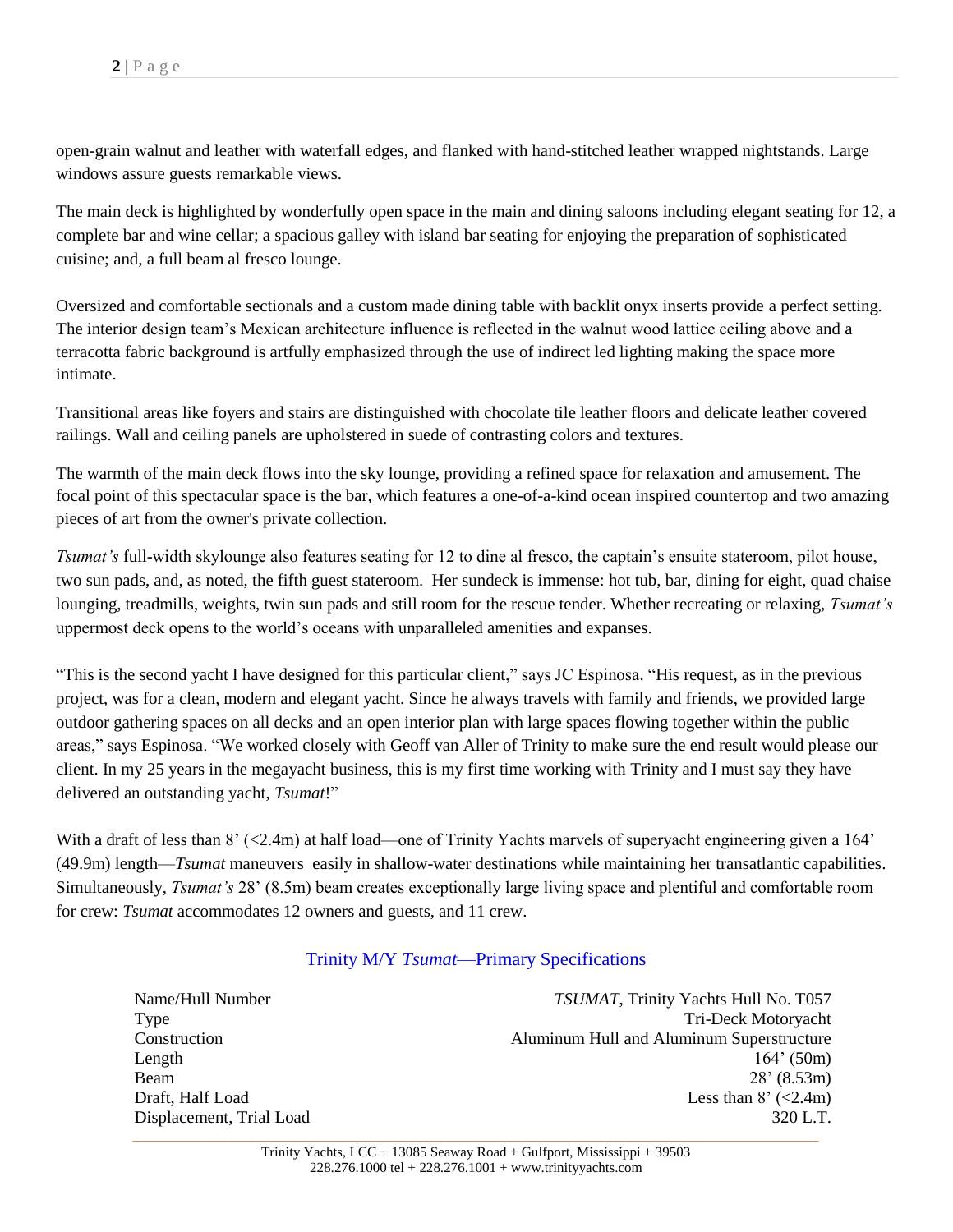open-grain walnut and leather with waterfall edges, and flanked with hand-stitched leather wrapped nightstands. Large windows assure guests remarkable views.

The main deck is highlighted by wonderfully open space in the main and dining saloons including elegant seating for 12, a complete bar and wine cellar; a spacious galley with island bar seating for enjoying the preparation of sophisticated cuisine; and, a full beam al fresco lounge.

Oversized and comfortable sectionals and a custom made dining table with backlit onyx inserts provide a perfect setting. The interior design team's Mexican architecture influence is reflected in the walnut wood lattice ceiling above and a terracotta fabric background is artfully emphasized through the use of indirect led lighting making the space more intimate.

Transitional areas like foyers and stairs are distinguished with chocolate tile leather floors and delicate leather covered railings. Wall and ceiling panels are upholstered in suede of contrasting colors and textures.

The warmth of the main deck flows into the sky lounge, providing a refined space for relaxation and amusement. The focal point of this spectacular space is the bar, which features a one-of-a-kind ocean inspired countertop and two amazing pieces of art from the owner's private collection.

*Tsumat's* full-width skylounge also features seating for 12 to dine al fresco, the captain's ensuite stateroom, pilot house, two sun pads, and, as noted, the fifth guest stateroom. Her sundeck is immense: hot tub, bar, dining for eight, quad chaise lounging, treadmills, weights, twin sun pads and still room for the rescue tender. Whether recreating or relaxing, *Tsumat's* uppermost deck opens to the world's oceans with unparalleled amenities and expanses.

"This is the second yacht I have designed for this particular client," says JC Espinosa. "His request, as in the previous project, was for a clean, modern and elegant yacht. Since he always travels with family and friends, we provided large outdoor gathering spaces on all decks and an open interior plan with large spaces flowing together within the public areas," says Espinosa. "We worked closely with Geoff van Aller of Trinity to make sure the end result would please our client. In my 25 years in the megayacht business, this is my first time working with Trinity and I must say they have delivered an outstanding yacht, *Tsumat*!"

With a draft of less than  $8'$  (<2.4m) at half load—one of Trinity Yachts marvels of superyacht engineering given a 164' (49.9m) length—*Tsumat* maneuvers easily in shallow-water destinations while maintaining her transatlantic capabilities. Simultaneously, *Tsumat's* 28' (8.5m) beam creates exceptionally large living space and plentiful and comfortable room for crew: *Tsumat* accommodates 12 owners and guests, and 11 crew.

## Trinity M/Y *Tsumat*—Primary Specifications

Name/Hull Number *TSUMAT*, Trinity Yachts Hull No. T057 Type Tri-Deck Motoryacht Construction Aluminum Hull and Aluminum Superstructure Length  $164'$  (50m) Beam 28' (8.53m) Draft, Half Load Less than 8' (<2.4m) Displacement, Trial Load 320 L.T.